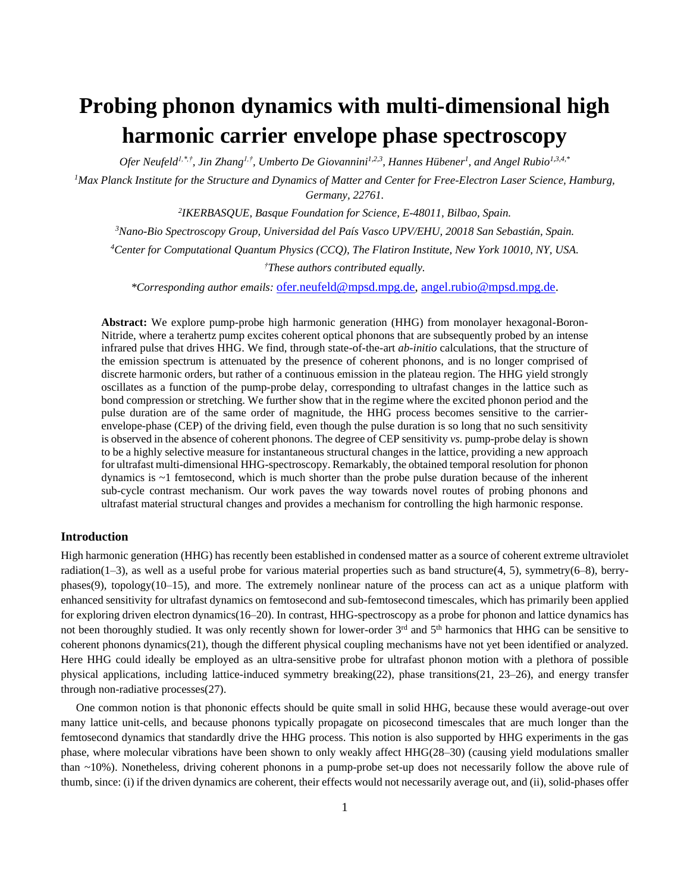# **Probing phonon dynamics with multi-dimensional high harmonic carrier envelope phase spectroscopy**

*Ofer Neufeld1,\*,†, Jin Zhang1,†, Umberto De Giovannini1,2,3, Hannes Hübener<sup>1</sup> , and Angel Rubio1,3,4,\**

*<sup>1</sup>Max Planck Institute for the Structure and Dynamics of Matter and Center for Free-Electron Laser Science, Hamburg, Germany, 22761.*

*2 IKERBASQUE, Basque Foundation for Science, E-48011, Bilbao, Spain.*

*<sup>3</sup>Nano-Bio Spectroscopy Group, Universidad del País Vasco UPV/EHU, 20018 San Sebastián, Spain.*

*<sup>4</sup>Center for Computational Quantum Physics (CCQ), The Flatiron Institute, New York 10010, NY, USA.*

*†These authors contributed equally.*

*\*Corresponding author emails:* [ofer.neufeld@mpsd.mpg.de,](mailto:ofer.neufeld@mpsd.mpg.de) [angel.rubio@mpsd.mpg.de.](mailto:angel.rubio@mpsd.mpg.de)

**Abstract:** We explore pump-probe high harmonic generation (HHG) from monolayer hexagonal-Boron-Nitride, where a terahertz pump excites coherent optical phonons that are subsequently probed by an intense infrared pulse that drives HHG. We find, through state-of-the-art *ab-initio* calculations, that the structure of the emission spectrum is attenuated by the presence of coherent phonons, and is no longer comprised of discrete harmonic orders, but rather of a continuous emission in the plateau region. The HHG yield strongly oscillates as a function of the pump-probe delay, corresponding to ultrafast changes in the lattice such as bond compression or stretching. We further show that in the regime where the excited phonon period and the pulse duration are of the same order of magnitude, the HHG process becomes sensitive to the carrierenvelope-phase (CEP) of the driving field, even though the pulse duration is so long that no such sensitivity is observed in the absence of coherent phonons. The degree of CEP sensitivity *vs.* pump-probe delay is shown to be a highly selective measure for instantaneous structural changes in the lattice, providing a new approach for ultrafast multi-dimensional HHG-spectroscopy. Remarkably, the obtained temporal resolution for phonon dynamics is ~1 femtosecond, which is much shorter than the probe pulse duration because of the inherent sub-cycle contrast mechanism. Our work paves the way towards novel routes of probing phonons and ultrafast material structural changes and provides a mechanism for controlling the high harmonic response.

# **Introduction**

High harmonic generation (HHG) has recently been established in condensed matter as a source of coherent extreme ultraviolet radiation(1–3), as well as a useful probe for various material properties such as band structure(4, 5), symmetry(6–8), berryphases(9), topology(10–15), and more. The extremely nonlinear nature of the process can act as a unique platform with enhanced sensitivity for ultrafast dynamics on femtosecond and sub-femtosecond timescales, which has primarily been applied for exploring driven electron dynamics(16–20). In contrast, HHG-spectroscopy as a probe for phonon and lattice dynamics has not been thoroughly studied. It was only recently shown for lower-order  $3<sup>rd</sup>$  and  $5<sup>th</sup>$  harmonics that HHG can be sensitive to coherent phonons dynamics(21), though the different physical coupling mechanisms have not yet been identified or analyzed. Here HHG could ideally be employed as an ultra-sensitive probe for ultrafast phonon motion with a plethora of possible physical applications, including lattice-induced symmetry breaking(22), phase transitions(21, 23–26), and energy transfer through non-radiative processes(27).

One common notion is that phononic effects should be quite small in solid HHG, because these would average-out over many lattice unit-cells, and because phonons typically propagate on picosecond timescales that are much longer than the femtosecond dynamics that standardly drive the HHG process. This notion is also supported by HHG experiments in the gas phase, where molecular vibrations have been shown to only weakly affect HHG(28–30) (causing yield modulations smaller than ~10%). Nonetheless, driving coherent phonons in a pump-probe set-up does not necessarily follow the above rule of thumb, since: (i) if the driven dynamics are coherent, their effects would not necessarily average out, and (ii), solid-phases offer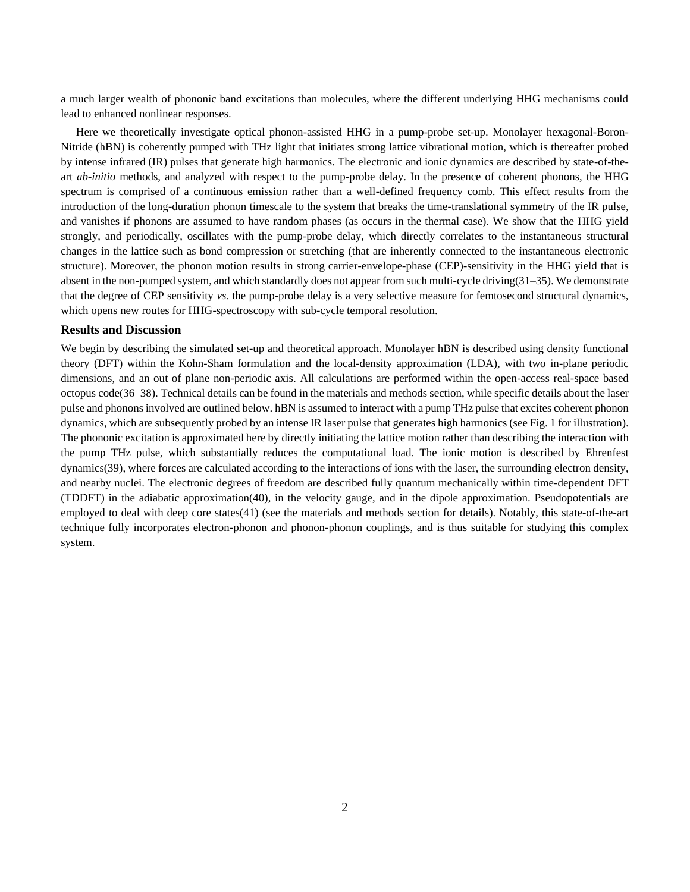a much larger wealth of phononic band excitations than molecules, where the different underlying HHG mechanisms could lead to enhanced nonlinear responses.

Here we theoretically investigate optical phonon-assisted HHG in a pump-probe set-up. Monolayer hexagonal-Boron-Nitride (hBN) is coherently pumped with THz light that initiates strong lattice vibrational motion, which is thereafter probed by intense infrared (IR) pulses that generate high harmonics. The electronic and ionic dynamics are described by state-of-theart *ab-initio* methods, and analyzed with respect to the pump-probe delay. In the presence of coherent phonons, the HHG spectrum is comprised of a continuous emission rather than a well-defined frequency comb. This effect results from the introduction of the long-duration phonon timescale to the system that breaks the time-translational symmetry of the IR pulse, and vanishes if phonons are assumed to have random phases (as occurs in the thermal case). We show that the HHG yield strongly, and periodically, oscillates with the pump-probe delay, which directly correlates to the instantaneous structural changes in the lattice such as bond compression or stretching (that are inherently connected to the instantaneous electronic structure). Moreover, the phonon motion results in strong carrier-envelope-phase (CEP)-sensitivity in the HHG yield that is absent in the non-pumped system, and which standardly does not appear from such multi-cycle driving(31–35). We demonstrate that the degree of CEP sensitivity *vs.* the pump-probe delay is a very selective measure for femtosecond structural dynamics, which opens new routes for HHG-spectroscopy with sub-cycle temporal resolution.

#### **Results and Discussion**

We begin by describing the simulated set-up and theoretical approach. Monolayer hBN is described using density functional theory (DFT) within the Kohn-Sham formulation and the local-density approximation (LDA), with two in-plane periodic dimensions, and an out of plane non-periodic axis. All calculations are performed within the open-access real-space based octopus code(36–38). Technical details can be found in the materials and methods section, while specific details about the laser pulse and phonons involved are outlined below. hBN is assumed to interact with a pump THz pulse that excites coherent phonon dynamics, which are subsequently probed by an intense IR laser pulse that generates high harmonics (see Fig. 1 for illustration). The phononic excitation is approximated here by directly initiating the lattice motion rather than describing the interaction with the pump THz pulse, which substantially reduces the computational load. The ionic motion is described by Ehrenfest dynamics(39), where forces are calculated according to the interactions of ions with the laser, the surrounding electron density, and nearby nuclei. The electronic degrees of freedom are described fully quantum mechanically within time-dependent DFT (TDDFT) in the adiabatic approximation(40), in the velocity gauge, and in the dipole approximation. Pseudopotentials are employed to deal with deep core states(41) (see the materials and methods section for details). Notably, this state-of-the-art technique fully incorporates electron-phonon and phonon-phonon couplings, and is thus suitable for studying this complex system.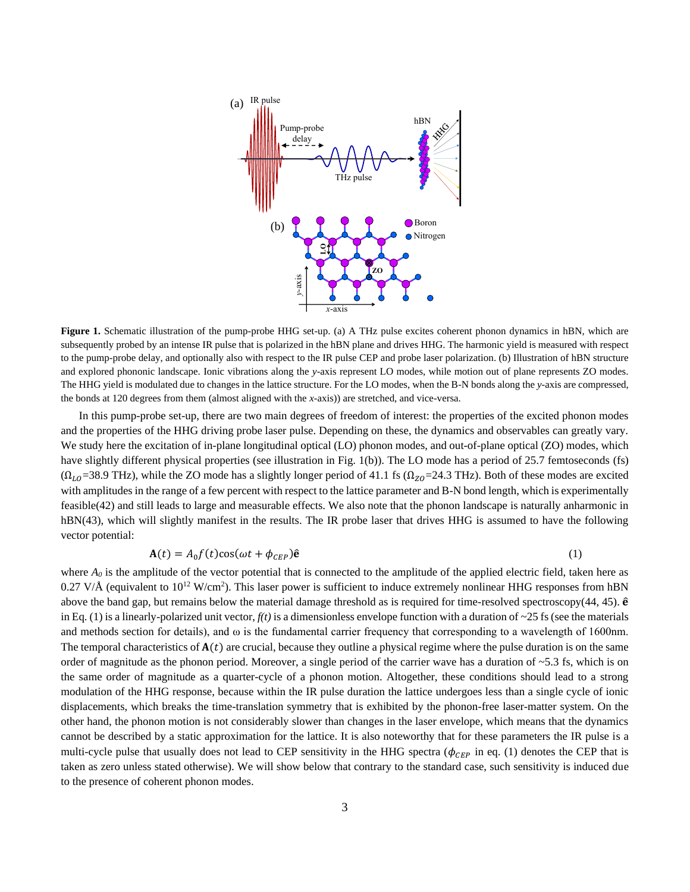

**Figure 1.** Schematic illustration of the pump-probe HHG set-up. (a) A THz pulse excites coherent phonon dynamics in hBN, which are subsequently probed by an intense IR pulse that is polarized in the hBN plane and drives HHG. The harmonic yield is measured with respect to the pump-probe delay, and optionally also with respect to the IR pulse CEP and probe laser polarization. (b) Illustration of hBN structure and explored phononic landscape. Ionic vibrations along the *y*-axis represent LO modes, while motion out of plane represents ZO modes. The HHG yield is modulated due to changes in the lattice structure. For the LO modes, when the B-N bonds along the *y*-axis are compressed, the bonds at 120 degrees from them (almost aligned with the *x*-axis)) are stretched, and vice-versa.

In this pump-probe set-up, there are two main degrees of freedom of interest: the properties of the excited phonon modes and the properties of the HHG driving probe laser pulse. Depending on these, the dynamics and observables can greatly vary. We study here the excitation of in-plane longitudinal optical (LO) phonon modes, and out-of-plane optical (ZO) modes, which have slightly different physical properties (see illustration in Fig. 1(b)). The LO mode has a period of 25.7 femtoseconds (fs)  $(\Omega_{LO}$ =38.9 THz), while the ZO mode has a slightly longer period of 41.1 fs ( $\Omega_{ZO}$ =24.3 THz). Both of these modes are excited with amplitudes in the range of a few percent with respect to the lattice parameter and B-N bond length, which is experimentally feasible(42) and still leads to large and measurable effects. We also note that the phonon landscape is naturally anharmonic in hBN(43), which will slightly manifest in the results. The IR probe laser that drives HHG is assumed to have the following vector potential:

# $A(t) = A_0 f(t) \cos(\omega t + \phi_{CEP}) \hat{e}$  (1)

where  $A_0$  is the amplitude of the vector potential that is connected to the amplitude of the applied electric field, taken here as 0.27 V/Å (equivalent to  $10^{12}$  W/cm<sup>2</sup>). This laser power is sufficient to induce extremely nonlinear HHG responses from hBN above the band gap, but remains below the material damage threshold as is required for time-resolved spectroscopy $(44, 45)$ .  $\hat{e}$ in Eq. (1) is a linearly-polarized unit vector,  $f(t)$  is a dimensionless envelope function with a duration of  $\sim$ 25 fs (see the materials and methods section for details), and  $\omega$  is the fundamental carrier frequency that corresponding to a wavelength of 1600nm. The temporal characteristics of  $A(t)$  are crucial, because they outline a physical regime where the pulse duration is on the same order of magnitude as the phonon period. Moreover, a single period of the carrier wave has a duration of  $\sim$  5.3 fs, which is on the same order of magnitude as a quarter-cycle of a phonon motion. Altogether, these conditions should lead to a strong modulation of the HHG response, because within the IR pulse duration the lattice undergoes less than a single cycle of ionic displacements, which breaks the time-translation symmetry that is exhibited by the phonon-free laser-matter system. On the other hand, the phonon motion is not considerably slower than changes in the laser envelope, which means that the dynamics cannot be described by a static approximation for the lattice. It is also noteworthy that for these parameters the IR pulse is a multi-cycle pulse that usually does not lead to CEP sensitivity in the HHG spectra ( $\phi_{CEP}$  in eq. (1) denotes the CEP that is taken as zero unless stated otherwise). We will show below that contrary to the standard case, such sensitivity is induced due to the presence of coherent phonon modes.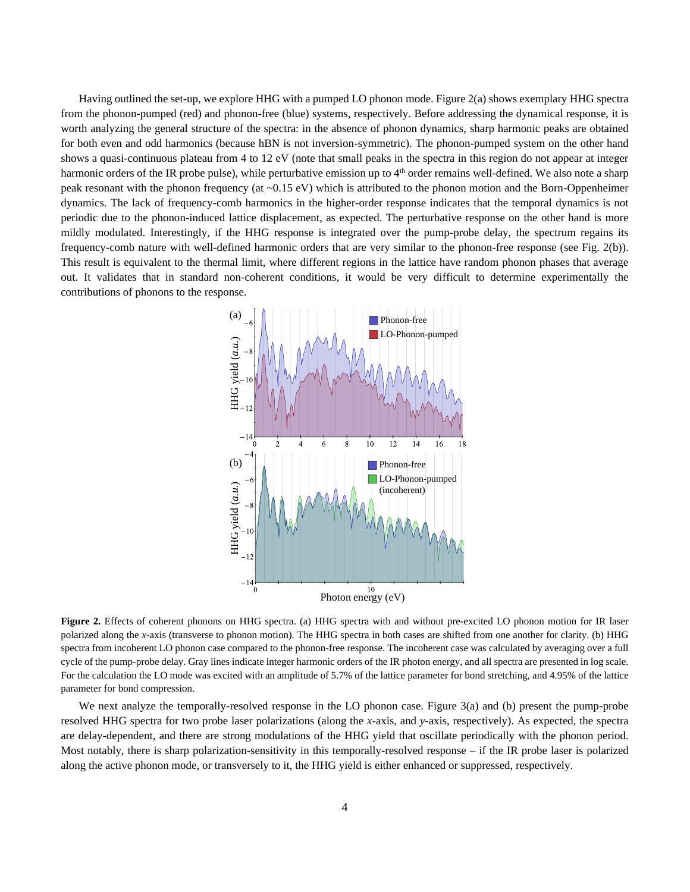Having outlined the set-up, we explore HHG with a pumped LO phonon mode. Figure 2(a) shows exemplary HHG spectra from the phonon-pumped (red) and phonon-free (blue) systems, respectively. Before addressing the dynamical response, it is worth analyzing the general structure of the spectra: in the absence of phonon dynamics, sharp harmonic peaks are obtained for both even and odd harmonics (because hBN is not inversion-symmetric). The phonon-pumped system on the other hand shows a quasi-continuous plateau from 4 to 12 eV (note that small peaks in the spectra in this region do not appear at integer harmonic orders of the IR probe pulse), while perturbative emission up to 4<sup>th</sup> order remains well-defined. We also note a sharp peak resonant with the phonon frequency (at ~0.15 eV) which is attributed to the phonon motion and the Born-Oppenheimer dynamics. The lack of frequency-comb harmonics in the higher-order response indicates that the temporal dynamics is not periodic due to the phonon-induced lattice displacement, as expected. The perturbative response on the other hand is more mildly modulated. Interestingly, if the HHG response is integrated over the pump-probe delay, the spectrum regains its frequency-comb nature with well-defined harmonic orders that are very similar to the phonon-free response (see Fig. 2(b)). This result is equivalent to the thermal limit, where different regions in the lattice have random phonon phases that average out. It validates that in standard non-coherent conditions, it would be very difficult to determine experimentally the contributions of phonons to the response.



Figure 2. Effects of coherent phonons on HHG spectra. (a) HHG spectra with and without pre-excited LO phonon motion for IR laser polarized along the *x*-axis (transverse to phonon motion). The HHG spectra in both cases are shifted from one another for clarity. (b) HHG spectra from incoherent LO phonon case compared to the phonon-free response. The incoherent case was calculated by averaging over a full cycle of the pump-probe delay. Gray lines indicate integer harmonic orders of the IR photon energy, and all spectra are presented in log scale. For the calculation the LO mode was excited with an amplitude of 5.7% of the lattice parameter for bond stretching, and 4.95% of the lattice parameter for bond compression.

We next analyze the temporally-resolved response in the LO phonon case. Figure 3(a) and (b) present the pump-probe resolved HHG spectra for two probe laser polarizations (along the *x*-axis, and *y*-axis, respectively). As expected, the spectra are delay-dependent, and there are strong modulations of the HHG yield that oscillate periodically with the phonon period. Most notably, there is sharp polarization-sensitivity in this temporally-resolved response – if the IR probe laser is polarized along the active phonon mode, or transversely to it, the HHG yield is either enhanced or suppressed, respectively.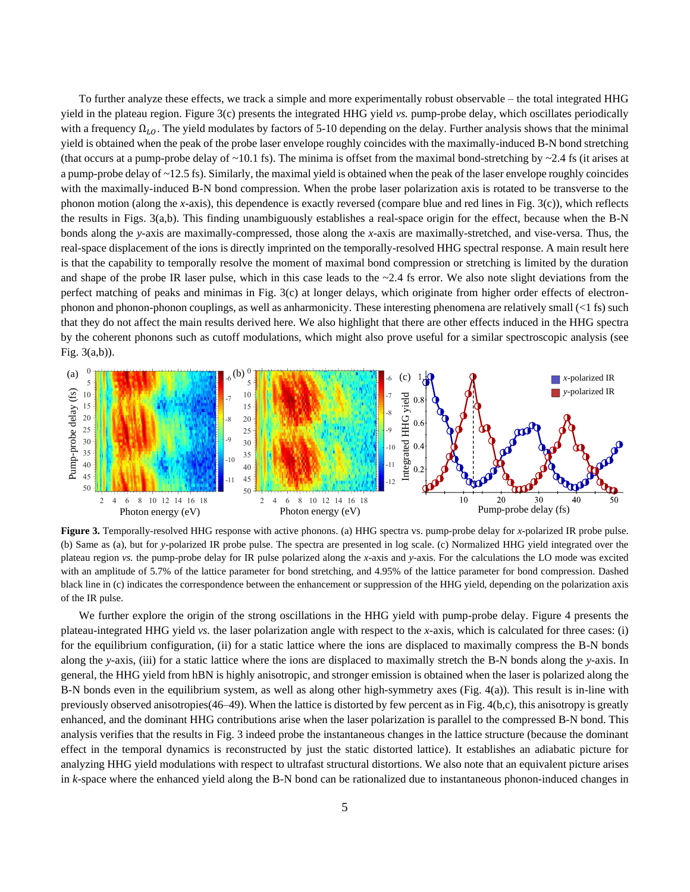To further analyze these effects, we track a simple and more experimentally robust observable – the total integrated HHG yield in the plateau region. Figure 3(c) presents the integrated HHG yield *vs.* pump-probe delay, which oscillates periodically with a frequency  $\Omega_{l,0}$ . The yield modulates by factors of 5-10 depending on the delay. Further analysis shows that the minimal yield is obtained when the peak of the probe laser envelope roughly coincides with the maximally-induced B-N bond stretching (that occurs at a pump-probe delay of  $\sim$ 10.1 fs). The minima is offset from the maximal bond-stretching by  $\sim$ 2.4 fs (it arises at a pump-probe delay of ~12.5 fs). Similarly, the maximal yield is obtained when the peak of the laser envelope roughly coincides with the maximally-induced B-N bond compression. When the probe laser polarization axis is rotated to be transverse to the phonon motion (along the *x*-axis), this dependence is exactly reversed (compare blue and red lines in Fig. 3(c)), which reflects the results in Figs. 3(a,b). This finding unambiguously establishes a real-space origin for the effect, because when the B-N bonds along the *y*-axis are maximally-compressed, those along the *x*-axis are maximally-stretched, and vise-versa. Thus, the real-space displacement of the ions is directly imprinted on the temporally-resolved HHG spectral response. A main result here is that the capability to temporally resolve the moment of maximal bond compression or stretching is limited by the duration and shape of the probe IR laser pulse, which in this case leads to the  $\sim$ 2.4 fs error. We also note slight deviations from the perfect matching of peaks and minimas in Fig. 3(c) at longer delays, which originate from higher order effects of electronphonon and phonon-phonon couplings, as well as anharmonicity. These interesting phenomena are relatively small  $\ll 1$  fs) such that they do not affect the main results derived here. We also highlight that there are other effects induced in the HHG spectra by the coherent phonons such as cutoff modulations, which might also prove useful for a similar spectroscopic analysis (see Fig. 3(a,b)).



**Figure 3.** Temporally-resolved HHG response with active phonons. (a) HHG spectra vs. pump-probe delay for *x*-polarized IR probe pulse. (b) Same as (a), but for *y*-polarized IR probe pulse. The spectra are presented in log scale. (c) Normalized HHG yield integrated over the plateau region *vs.* the pump-probe delay for IR pulse polarized along the *x*-axis and *y*-axis. For the calculations the LO mode was excited with an amplitude of 5.7% of the lattice parameter for bond stretching, and 4.95% of the lattice parameter for bond compression. Dashed black line in (c) indicates the correspondence between the enhancement or suppression of the HHG yield, depending on the polarization axis of the IR pulse.

We further explore the origin of the strong oscillations in the HHG yield with pump-probe delay. Figure 4 presents the plateau-integrated HHG yield *vs.* the laser polarization angle with respect to the *x*-axis, which is calculated for three cases: (i) for the equilibrium configuration, (ii) for a static lattice where the ions are displaced to maximally compress the B-N bonds along the *y*-axis, (iii) for a static lattice where the ions are displaced to maximally stretch the B-N bonds along the *y*-axis. In general, the HHG yield from hBN is highly anisotropic, and stronger emission is obtained when the laser is polarized along the B-N bonds even in the equilibrium system, as well as along other high-symmetry axes (Fig. 4(a)). This result is in-line with previously observed anisotropies(46–49). When the lattice is distorted by few percent as in Fig. 4(b,c), this anisotropy is greatly enhanced, and the dominant HHG contributions arise when the laser polarization is parallel to the compressed B-N bond. This analysis verifies that the results in Fig. 3 indeed probe the instantaneous changes in the lattice structure (because the dominant effect in the temporal dynamics is reconstructed by just the static distorted lattice). It establishes an adiabatic picture for analyzing HHG yield modulations with respect to ultrafast structural distortions. We also note that an equivalent picture arises in *k*-space where the enhanced yield along the B-N bond can be rationalized due to instantaneous phonon-induced changes in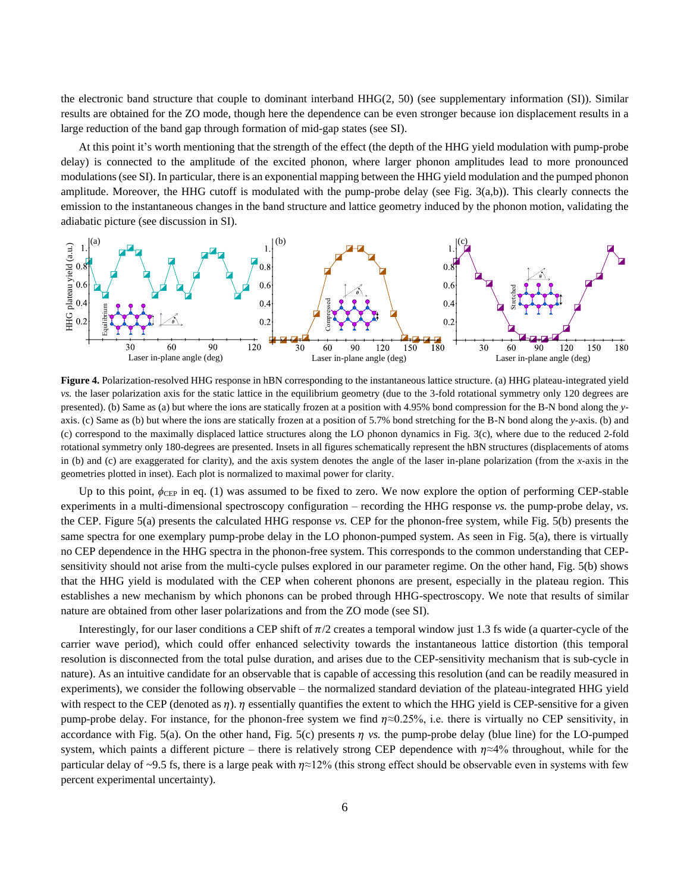the electronic band structure that couple to dominant interband HHG(2, 50) (see supplementary information (SI)). Similar results are obtained for the ZO mode, though here the dependence can be even stronger because ion displacement results in a large reduction of the band gap through formation of mid-gap states (see SI).

At this point it's worth mentioning that the strength of the effect (the depth of the HHG yield modulation with pump-probe delay) is connected to the amplitude of the excited phonon, where larger phonon amplitudes lead to more pronounced modulations (see SI). In particular, there is an exponential mapping between the HHG yield modulation and the pumped phonon amplitude. Moreover, the HHG cutoff is modulated with the pump-probe delay (see Fig. 3(a,b)). This clearly connects the emission to the instantaneous changes in the band structure and lattice geometry induced by the phonon motion, validating the adiabatic picture (see discussion in SI).



**Figure 4.** Polarization-resolved HHG response in hBN corresponding to the instantaneous lattice structure. (a) HHG plateau-integrated yield *vs.* the laser polarization axis for the static lattice in the equilibrium geometry (due to the 3-fold rotational symmetry only 120 degrees are presented). (b) Same as (a) but where the ions are statically frozen at a position with 4.95% bond compression for the B-N bond along the *y*axis. (c) Same as (b) but where the ions are statically frozen at a position of 5.7% bond stretching for the B-N bond along the *y*-axis. (b) and (c) correspond to the maximally displaced lattice structures along the LO phonon dynamics in Fig. 3(c), where due to the reduced 2-fold rotational symmetry only 180-degrees are presented. Insets in all figures schematically represent the hBN structures (displacements of atoms in (b) and (c) are exaggerated for clarity), and the axis system denotes the angle of the laser in-plane polarization (from the *x*-axis in the geometries plotted in inset). Each plot is normalized to maximal power for clarity.

Up to this point,  $\phi_{\text{CEP}}$  in eq. (1) was assumed to be fixed to zero. We now explore the option of performing CEP-stable experiments in a multi-dimensional spectroscopy configuration – recording the HHG response *vs.* the pump-probe delay, *vs.* the CEP. Figure 5(a) presents the calculated HHG response *vs.* CEP for the phonon-free system, while Fig. 5(b) presents the same spectra for one exemplary pump-probe delay in the LO phonon-pumped system. As seen in Fig. 5(a), there is virtually no CEP dependence in the HHG spectra in the phonon-free system. This corresponds to the common understanding that CEPsensitivity should not arise from the multi-cycle pulses explored in our parameter regime. On the other hand, Fig. 5(b) shows that the HHG yield is modulated with the CEP when coherent phonons are present, especially in the plateau region. This establishes a new mechanism by which phonons can be probed through HHG-spectroscopy. We note that results of similar nature are obtained from other laser polarizations and from the ZO mode (see SI).

Interestingly, for our laser conditions a CEP shift of  $\pi/2$  creates a temporal window just 1.3 fs wide (a quarter-cycle of the carrier wave period), which could offer enhanced selectivity towards the instantaneous lattice distortion (this temporal resolution is disconnected from the total pulse duration, and arises due to the CEP-sensitivity mechanism that is sub-cycle in nature). As an intuitive candidate for an observable that is capable of accessing this resolution (and can be readily measured in experiments), we consider the following observable – the normalized standard deviation of the plateau-integrated HHG yield with respect to the CEP (denoted as  $\eta$ ).  $\eta$  essentially quantifies the extent to which the HHG yield is CEP-sensitive for a given pump-probe delay. For instance, for the phonon-free system we find  $\eta \approx 0.25\%$ , i.e. there is virtually no CEP sensitivity, in accordance with Fig. 5(a). On the other hand, Fig. 5(c) presents  $\eta$  vs. the pump-probe delay (blue line) for the LO-pumped system, which paints a different picture – there is relatively strong CEP dependence with  $\eta \approx 4\%$  throughout, while for the particular delay of ~9.5 fs, there is a large peak with  $\eta \approx 12\%$  (this strong effect should be observable even in systems with few **PERCELATE AND SET AND SET AND SET AND SET AND SET AND SET AND SET AND SET AND SET AND SET AND SET AND SET AND SET AND SET AND SET AND SET AND SET AND SET AND SET AND SET AND SET AND SET AND SET AND SET AND SET AND SET AN**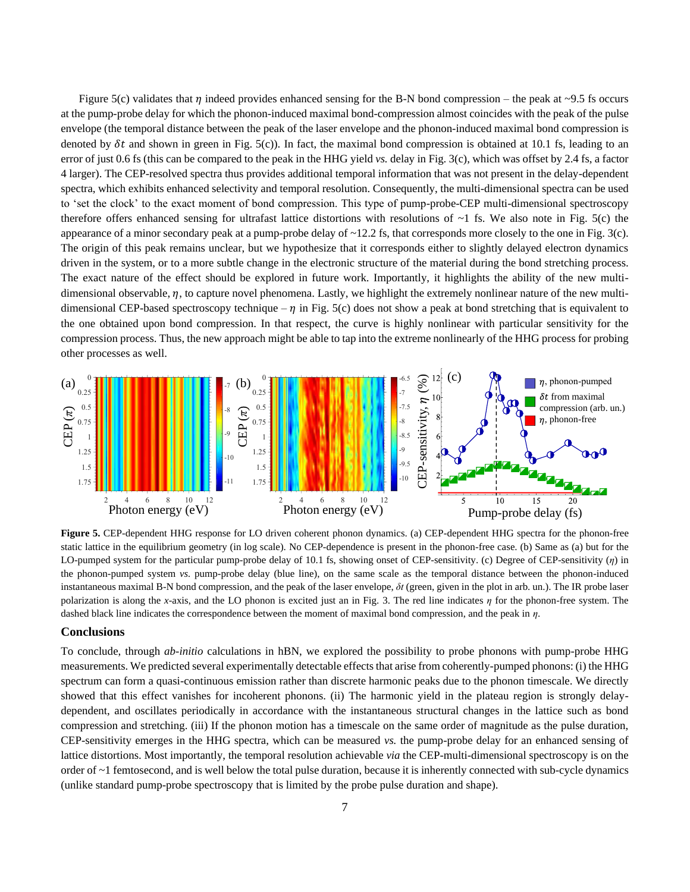Figure 5(c) validates that  $\eta$  indeed provides enhanced sensing for the B-N bond compression – the peak at ~9.5 fs occurs at the pump-probe delay for which the phonon-induced maximal bond-compression almost coincides with the peak of the pulse envelope (the temporal distance between the peak of the laser envelope and the phonon-induced maximal bond compression is denoted by  $\delta t$  and shown in green in Fig. 5(c)). In fact, the maximal bond compression is obtained at 10.1 fs, leading to an error of just 0.6 fs (this can be compared to the peak in the HHG yield *vs.* delay in Fig. 3(c), which was offset by 2.4 fs, a factor 4 larger). The CEP-resolved spectra thus provides additional temporal information that was not present in the delay-dependent spectra, which exhibits enhanced selectivity and temporal resolution. Consequently, the multi-dimensional spectra can be used to 'set the clock' to the exact moment of bond compression. This type of pump-probe-CEP multi-dimensional spectroscopy therefore offers enhanced sensing for ultrafast lattice distortions with resolutions of  $\sim$ 1 fs. We also note in Fig. 5(c) the appearance of a minor secondary peak at a pump-probe delay of ~12.2 fs, that corresponds more closely to the one in Fig. 3(c). The origin of this peak remains unclear, but we hypothesize that it corresponds either to slightly delayed electron dynamics driven in the system, or to a more subtle change in the electronic structure of the material during the bond stretching process. The exact nature of the effect should be explored in future work. Importantly, it highlights the ability of the new multidimensional observable,  $\eta$ , to capture novel phenomena. Lastly, we highlight the extremely nonlinear nature of the new multidimensional CEP-based spectroscopy technique –  $\eta$  in Fig. 5(c) does not show a peak at bond stretching that is equivalent to the one obtained upon bond compression. In that respect, the curve is highly nonlinear with particular sensitivity for the compression process. Thus, the new approach might be able to tap into the extreme nonlinearly of the HHG process for probing other processes as well.



**Figure 5.** CEP-dependent HHG response for LO driven coherent phonon dynamics. (a) CEP-dependent HHG spectra for the phonon-free static lattice in the equilibrium geometry (in log scale). No CEP-dependence is present in the phonon-free case. (b) Same as (a) but for the LO-pumped system for the particular pump-probe delay of 10.1 fs, showing onset of CEP-sensitivity. (c) Degree of CEP-sensitivity (*η*) in the phonon-pumped system *vs.* pump-probe delay (blue line), on the same scale as the temporal distance between the phonon-induced instantaneous maximal B-N bond compression, and the peak of the laser envelope, *δt* (green, given in the plot in arb. un.). The IR probe laser polarization is along the *x*-axis, and the LO phonon is excited just an in Fig. 3. The red line indicates *η* for the phonon-free system. The dashed black line indicates the correspondence between the moment of maximal bond compression, and the peak in *η*.

#### **Conclusions**

To conclude, through *ab-initio* calculations in hBN, we explored the possibility to probe phonons with pump-probe HHG measurements. We predicted several experimentally detectable effects that arise from coherently-pumped phonons: (i) the HHG spectrum can form a quasi-continuous emission rather than discrete harmonic peaks due to the phonon timescale. We directly showed that this effect vanishes for incoherent phonons. (ii) The harmonic yield in the plateau region is strongly delaydependent, and oscillates periodically in accordance with the instantaneous structural changes in the lattice such as bond compression and stretching. (iii) If the phonon motion has a timescale on the same order of magnitude as the pulse duration, CEP-sensitivity emerges in the HHG spectra, which can be measured *vs.* the pump-probe delay for an enhanced sensing of lattice distortions. Most importantly, the temporal resolution achievable *via* the CEP-multi-dimensional spectroscopy is on the order of ~1 femtosecond, and is well below the total pulse duration, because it is inherently connected with sub-cycle dynamics (unlike standard pump-probe spectroscopy that is limited by the probe pulse duration and shape).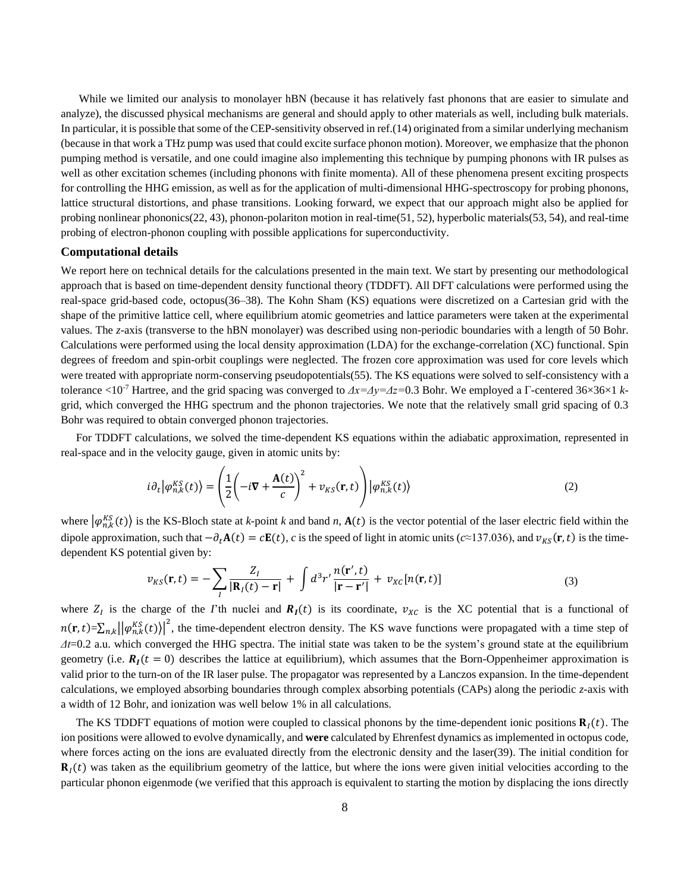While we limited our analysis to monolayer hBN (because it has relatively fast phonons that are easier to simulate and analyze), the discussed physical mechanisms are general and should apply to other materials as well, including bulk materials. In particular, it is possible that some of the CEP-sensitivity observed in ref.(14) originated from a similar underlying mechanism (because in that work a THz pump was used that could excite surface phonon motion). Moreover, we emphasize that the phonon pumping method is versatile, and one could imagine also implementing this technique by pumping phonons with IR pulses as well as other excitation schemes (including phonons with finite momenta). All of these phenomena present exciting prospects for controlling the HHG emission, as well as for the application of multi-dimensional HHG-spectroscopy for probing phonons, lattice structural distortions, and phase transitions. Looking forward, we expect that our approach might also be applied for probing nonlinear phononics(22, 43), phonon-polariton motion in real-time(51, 52), hyperbolic materials(53, 54), and real-time probing of electron-phonon coupling with possible applications for superconductivity.

#### **Computational details**

We report here on technical details for the calculations presented in the main text. We start by presenting our methodological approach that is based on time-dependent density functional theory (TDDFT). All DFT calculations were performed using the real-space grid-based code, octopus(36–38). The Kohn Sham (KS) equations were discretized on a Cartesian grid with the shape of the primitive lattice cell, where equilibrium atomic geometries and lattice parameters were taken at the experimental values. The *z*-axis (transverse to the hBN monolayer) was described using non-periodic boundaries with a length of 50 Bohr. Calculations were performed using the local density approximation (LDA) for the exchange-correlation (XC) functional. Spin degrees of freedom and spin-orbit couplings were neglected. The frozen core approximation was used for core levels which were treated with appropriate norm-conserving pseudopotentials(55). The KS equations were solved to self-consistency with a tolerance <10-7 Hartree, and the grid spacing was converged to *Δx=Δy=Δz=*0.3 Bohr. We employed a Γ-centered 36×36×1 *k*grid, which converged the HHG spectrum and the phonon trajectories. We note that the relatively small grid spacing of 0.3 Bohr was required to obtain converged phonon trajectories.

For TDDFT calculations, we solved the time-dependent KS equations within the adiabatic approximation, represented in real-space and in the velocity gauge, given in atomic units by:

$$
i\partial_t |\varphi_{n,k}^{KS}(t)\rangle = \left(\frac{1}{2}\left(-i\nabla + \frac{\mathbf{A}(t)}{c}\right)^2 + \nu_{KS}(\mathbf{r}, t)\right) |\varphi_{n,k}^{KS}(t)\rangle
$$
(2)

where  $|\varphi_{n,k}^{KS}(t)\rangle$  is the KS-Bloch state at *k*-point *k* and band *n*,  $A(t)$  is the vector potential of the laser electric field within the dipole approximation, such that  $-\partial_t \mathbf{A}(t) = c \mathbf{E}(t)$ , *c* is the speed of light in atomic units ( $c \approx 137.036$ ), and  $v_{KS}(\mathbf{r}, t)$  is the timedependent KS potential given by:

$$
v_{KS}(\mathbf{r},t) = -\sum_{l} \frac{Z_l}{|\mathbf{R}_l(t) - \mathbf{r}|} + \int d^3 r' \frac{n(\mathbf{r}',t)}{|\mathbf{r} - \mathbf{r}'|} + v_{XC}[n(\mathbf{r},t)] \tag{3}
$$

where  $Z_I$  is the charge of the *I*'th nuclei and  $R_I(t)$  is its coordinate,  $v_{XC}$  is the XC potential that is a functional of  $n(\mathbf{r}, t) = \sum_{n,k} ||\varphi_{n,k}^{KS}(t)||^2$ , the time-dependent electron density. The KS wave functions were propagated with a time step of *Δt*=0.2 a.u. which converged the HHG spectra. The initial state was taken to be the system's ground state at the equilibrium geometry (i.e.  $\mathbf{R}_I(t=0)$ ) describes the lattice at equilibrium), which assumes that the Born-Oppenheimer approximation is valid prior to the turn-on of the IR laser pulse. The propagator was represented by a Lanczos expansion. In the time-dependent calculations, we employed absorbing boundaries through complex absorbing potentials (CAPs) along the periodic *z*-axis with a width of 12 Bohr, and ionization was well below 1% in all calculations.

The KS TDDFT equations of motion were coupled to classical phonons by the time-dependent ionic positions  $\mathbf{R}_1(t)$ . The ion positions were allowed to evolve dynamically, and **were** calculated by Ehrenfest dynamics as implemented in octopus code, where forces acting on the ions are evaluated directly from the electronic density and the laser(39). The initial condition for  **was taken as the equilibrium geometry of the lattice, but where the ions were given initial velocities according to the** particular phonon eigenmode (we verified that this approach is equivalent to starting the motion by displacing the ions directly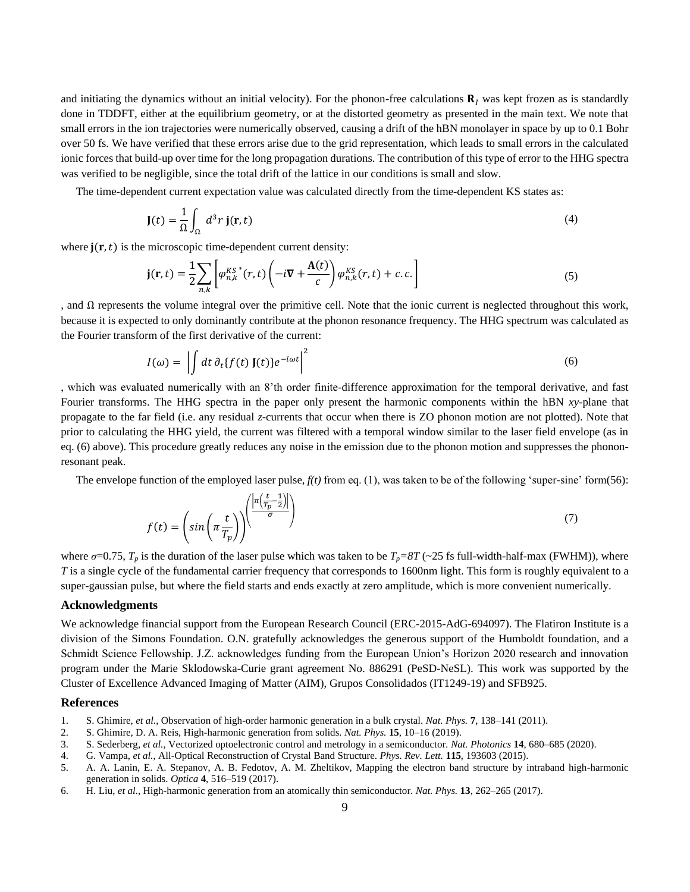and initiating the dynamics without an initial velocity). For the phonon-free calculations  $\mathbf{R}_l$  was kept frozen as is standardly done in TDDFT, either at the equilibrium geometry, or at the distorted geometry as presented in the main text. We note that small errors in the ion trajectories were numerically observed, causing a drift of the hBN monolayer in space by up to 0.1 Bohr over 50 fs. We have verified that these errors arise due to the grid representation, which leads to small errors in the calculated ionic forces that build-up over time for the long propagation durations. The contribution of this type of error to the HHG spectra was verified to be negligible, since the total drift of the lattice in our conditions is small and slow.

The time-dependent current expectation value was calculated directly from the time-dependent KS states as:

$$
\mathbf{J}(t) = \frac{1}{\Omega} \int_{\Omega} d^3 r \, \mathbf{j}(\mathbf{r}, t) \tag{4}
$$

where  $\mathbf{j}(\mathbf{r},t)$  is the microscopic time-dependent current density:

$$
\mathbf{j}(\mathbf{r},t) = \frac{1}{2} \sum_{n,k} \left[ \varphi_{n,k}^{KS}(r,t) \left( -i \nabla + \frac{\mathbf{A}(t)}{c} \right) \varphi_{n,k}^{KS}(r,t) + c.c. \right] \tag{5}
$$

, and Ω represents the volume integral over the primitive cell. Note that the ionic current is neglected throughout this work, because it is expected to only dominantly contribute at the phonon resonance frequency. The HHG spectrum was calculated as the Fourier transform of the first derivative of the current:

$$
I(\omega) = \left| \int dt \, \partial_t \{ f(t) \, J(t) \} e^{-i\omega t} \right|^2 \tag{6}
$$

, which was evaluated numerically with an 8'th order finite-difference approximation for the temporal derivative, and fast Fourier transforms. The HHG spectra in the paper only present the harmonic components within the hBN *xy*-plane that propagate to the far field (i.e. any residual *z*-currents that occur when there is ZO phonon motion are not plotted). Note that prior to calculating the HHG yield, the current was filtered with a temporal window similar to the laser field envelope (as in eq. (6) above). This procedure greatly reduces any noise in the emission due to the phonon motion and suppresses the phononresonant peak.

The envelope function of the employed laser pulse, *f(t)* from eq. (1), was taken to be of the following 'super-sine' form(56):

$$
f(t) = \left(\sin\left(\pi \frac{t}{T_p}\right)\right) \frac{\left|\frac{n\left(\frac{t}{T_p} - \frac{1}{2}\right)\right|}{\sigma}\right) \tag{7}
$$

where  $\sigma$ =0.75,  $T_p$  is the duration of the laser pulse which was taken to be  $T_p$ =8T (~25 fs full-width-half-max (FWHM)), where *T* is a single cycle of the fundamental carrier frequency that corresponds to 1600nm light. This form is roughly equivalent to a super-gaussian pulse, but where the field starts and ends exactly at zero amplitude, which is more convenient numerically.

## **Acknowledgments**

We acknowledge financial support from the European Research Council (ERC-2015-AdG-694097). The Flatiron Institute is a division of the Simons Foundation. O.N. gratefully acknowledges the generous support of the Humboldt foundation, and a Schmidt Science Fellowship. J.Z. acknowledges funding from the European Union's Horizon 2020 research and innovation program under the Marie Sklodowska-Curie grant agreement No. 886291 (PeSD-NeSL). This work was supported by the Cluster of Excellence Advanced Imaging of Matter (AIM), Grupos Consolidados (IT1249-19) and SFB925.

#### **References**

- 1. S. Ghimire, *et al.*, Observation of high-order harmonic generation in a bulk crystal. *Nat. Phys.* **7**, 138–141 (2011).
- 2. S. Ghimire, D. A. Reis, High-harmonic generation from solids. *Nat. Phys.* **15**, 10–16 (2019).
- 3. S. Sederberg, *et al.*, Vectorized optoelectronic control and metrology in a semiconductor. *Nat. Photonics* **14**, 680–685 (2020).
- 4. G. Vampa, *et al.*, All-Optical Reconstruction of Crystal Band Structure. *Phys. Rev. Lett.* **115**, 193603 (2015).
- 5. A. A. Lanin, E. A. Stepanov, A. B. Fedotov, A. M. Zheltikov, Mapping the electron band structure by intraband high-harmonic generation in solids. *Optica* **4**, 516–519 (2017).
- 6. H. Liu, *et al.*, High-harmonic generation from an atomically thin semiconductor. *Nat. Phys.* **13**, 262–265 (2017).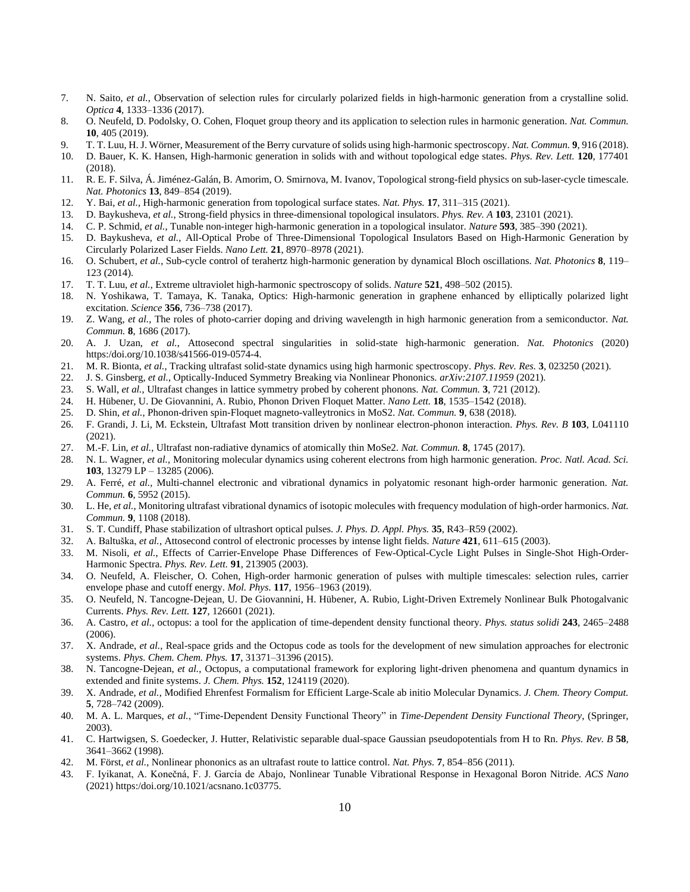- 7. N. Saito, *et al.*, Observation of selection rules for circularly polarized fields in high-harmonic generation from a crystalline solid. *Optica* **4**, 1333–1336 (2017).
- 8. O. Neufeld, D. Podolsky, O. Cohen, Floquet group theory and its application to selection rules in harmonic generation. *Nat. Commun.* **10**, 405 (2019).
- 9. T. T. Luu, H. J. Wörner, Measurement of the Berry curvature of solids using high-harmonic spectroscopy. *Nat. Commun.* **9**, 916 (2018).
- 10. D. Bauer, K. K. Hansen, High-harmonic generation in solids with and without topological edge states. *Phys. Rev. Lett.* **120**, 177401 (2018).
- 11. R. E. F. Silva, Á. Jiménez-Galán, B. Amorim, O. Smirnova, M. Ivanov, Topological strong-field physics on sub-laser-cycle timescale. *Nat. Photonics* **13**, 849–854 (2019).
- 12. Y. Bai, *et al.*, High-harmonic generation from topological surface states. *Nat. Phys.* **17**, 311–315 (2021).
- 13. D. Baykusheva, *et al.*, Strong-field physics in three-dimensional topological insulators. *Phys. Rev. A* **103**, 23101 (2021).
- 14. C. P. Schmid, *et al.*, Tunable non-integer high-harmonic generation in a topological insulator. *Nature* **593**, 385–390 (2021).
- 15. D. Baykusheva, *et al.*, All-Optical Probe of Three-Dimensional Topological Insulators Based on High-Harmonic Generation by Circularly Polarized Laser Fields. *Nano Lett.* **21**, 8970–8978 (2021).
- 16. O. Schubert, *et al.*, Sub-cycle control of terahertz high-harmonic generation by dynamical Bloch oscillations. *Nat. Photonics* **8**, 119– 123 (2014).
- 17. T. T. Luu, *et al.*, Extreme ultraviolet high-harmonic spectroscopy of solids. *Nature* **521**, 498–502 (2015).
- 18. N. Yoshikawa, T. Tamaya, K. Tanaka, Optics: High-harmonic generation in graphene enhanced by elliptically polarized light excitation. *Science* **356**, 736–738 (2017).
- 19. Z. Wang, *et al.*, The roles of photo-carrier doping and driving wavelength in high harmonic generation from a semiconductor. *Nat. Commun.* **8**, 1686 (2017).
- 20. A. J. Uzan, *et al.*, Attosecond spectral singularities in solid-state high-harmonic generation. *Nat. Photonics* (2020) https:/doi.org/10.1038/s41566-019-0574-4.
- 21. M. R. Bionta, *et al.*, Tracking ultrafast solid-state dynamics using high harmonic spectroscopy. *Phys. Rev. Res.* **3**, 023250 (2021).
- 22. J. S. Ginsberg, *et al.*, Optically-Induced Symmetry Breaking via Nonlinear Phononics. *arXiv:2107.11959* (2021).
- 23. S. Wall, *et al.*, Ultrafast changes in lattice symmetry probed by coherent phonons. *Nat. Commun.* **3**, 721 (2012).
- 24. H. Hübener, U. De Giovannini, A. Rubio, Phonon Driven Floquet Matter. *Nano Lett.* **18**, 1535–1542 (2018).
- 25. D. Shin, *et al.*, Phonon-driven spin-Floquet magneto-valleytronics in MoS2. *Nat. Commun.* **9**, 638 (2018).
- 26. F. Grandi, J. Li, M. Eckstein, Ultrafast Mott transition driven by nonlinear electron-phonon interaction. *Phys. Rev. B* **103**, L041110 (2021).
- 27. M.-F. Lin, *et al.*, Ultrafast non-radiative dynamics of atomically thin MoSe2. *Nat. Commun.* **8**, 1745 (2017).
- 28. N. L. Wagner, *et al.*, Monitoring molecular dynamics using coherent electrons from high harmonic generation. *Proc. Natl. Acad. Sci.* **103**, 13279 LP – 13285 (2006).
- 29. A. Ferré, *et al.*, Multi-channel electronic and vibrational dynamics in polyatomic resonant high-order harmonic generation. *Nat. Commun.* **6**, 5952 (2015).
- 30. L. He, *et al.*, Monitoring ultrafast vibrational dynamics of isotopic molecules with frequency modulation of high-order harmonics. *Nat. Commun.* **9**, 1108 (2018).
- 31. S. T. Cundiff, Phase stabilization of ultrashort optical pulses. *J. Phys. D. Appl. Phys.* **35**, R43–R59 (2002).
- 32. A. Baltuška, *et al.*, Attosecond control of electronic processes by intense light fields. *Nature* **421**, 611–615 (2003).
- 33. M. Nisoli, *et al.*, Effects of Carrier-Envelope Phase Differences of Few-Optical-Cycle Light Pulses in Single-Shot High-Order-Harmonic Spectra. *Phys. Rev. Lett.* **91**, 213905 (2003).
- 34. O. Neufeld, A. Fleischer, O. Cohen, High-order harmonic generation of pulses with multiple timescales: selection rules, carrier envelope phase and cutoff energy. *Mol. Phys.* **117**, 1956–1963 (2019).
- 35. O. Neufeld, N. Tancogne-Dejean, U. De Giovannini, H. Hübener, A. Rubio, Light-Driven Extremely Nonlinear Bulk Photogalvanic Currents. *Phys. Rev. Lett.* **127**, 126601 (2021).
- 36. A. Castro, *et al.*, octopus: a tool for the application of time-dependent density functional theory. *Phys. status solidi* **243**, 2465–2488 (2006).
- 37. X. Andrade, *et al.*, Real-space grids and the Octopus code as tools for the development of new simulation approaches for electronic systems. *Phys. Chem. Chem. Phys.* **17**, 31371–31396 (2015).
- 38. N. Tancogne-Dejean, *et al.*, Octopus, a computational framework for exploring light-driven phenomena and quantum dynamics in extended and finite systems. *J. Chem. Phys.* **152**, 124119 (2020).
- 39. X. Andrade, *et al.*, Modified Ehrenfest Formalism for Efficient Large-Scale ab initio Molecular Dynamics. *J. Chem. Theory Comput.* **5**, 728–742 (2009).
- 40. M. A. L. Marques, *et al.*, "Time-Dependent Density Functional Theory" in *Time-Dependent Density Functional Theory*, (Springer, 2003).
- 41. C. Hartwigsen, S. Goedecker, J. Hutter, Relativistic separable dual-space Gaussian pseudopotentials from H to Rn. *Phys. Rev. B* **58**, 3641–3662 (1998).
- 42. M. Först, *et al.*, Nonlinear phononics as an ultrafast route to lattice control. *Nat. Phys.* **7**, 854–856 (2011).
- 43. F. Iyikanat, A. Konečná, F. J. García de Abajo, Nonlinear Tunable Vibrational Response in Hexagonal Boron Nitride. *ACS Nano* (2021) https:/doi.org/10.1021/acsnano.1c03775.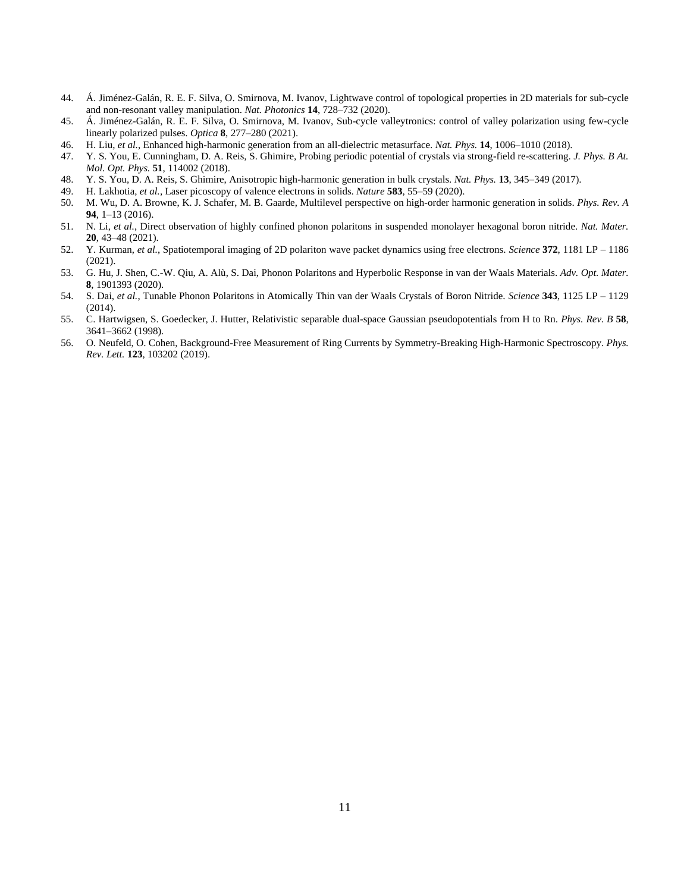- 44. Á. Jiménez-Galán, R. E. F. Silva, O. Smirnova, M. Ivanov, Lightwave control of topological properties in 2D materials for sub-cycle and non-resonant valley manipulation. *Nat. Photonics* **14**, 728–732 (2020).
- 45. Á. Jiménez-Galán, R. E. F. Silva, O. Smirnova, M. Ivanov, Sub-cycle valleytronics: control of valley polarization using few-cycle linearly polarized pulses. *Optica* **8**, 277–280 (2021).
- 46. H. Liu, *et al.*, Enhanced high-harmonic generation from an all-dielectric metasurface. *Nat. Phys.* **14**, 1006–1010 (2018).
- 47. Y. S. You, E. Cunningham, D. A. Reis, S. Ghimire, Probing periodic potential of crystals via strong-field re-scattering. *J. Phys. B At. Mol. Opt. Phys.* **51**, 114002 (2018).
- 48. Y. S. You, D. A. Reis, S. Ghimire, Anisotropic high-harmonic generation in bulk crystals. *Nat. Phys.* **13**, 345–349 (2017).
- 49. H. Lakhotia, *et al.*, Laser picoscopy of valence electrons in solids. *Nature* **583**, 55–59 (2020).
- 50. M. Wu, D. A. Browne, K. J. Schafer, M. B. Gaarde, Multilevel perspective on high-order harmonic generation in solids. *Phys. Rev. A* **94**, 1–13 (2016).
- 51. N. Li, *et al.*, Direct observation of highly confined phonon polaritons in suspended monolayer hexagonal boron nitride. *Nat. Mater.* **20**, 43–48 (2021).
- 52. Y. Kurman, *et al.*, Spatiotemporal imaging of 2D polariton wave packet dynamics using free electrons. *Science* **372**, 1181 LP 1186 (2021).
- 53. G. Hu, J. Shen, C.-W. Qiu, A. Alù, S. Dai, Phonon Polaritons and Hyperbolic Response in van der Waals Materials. *Adv. Opt. Mater.* **8**, 1901393 (2020).
- 54. S. Dai, *et al.*, Tunable Phonon Polaritons in Atomically Thin van der Waals Crystals of Boron Nitride. *Science* **343**, 1125 LP 1129 (2014).
- 55. C. Hartwigsen, S. Goedecker, J. Hutter, Relativistic separable dual-space Gaussian pseudopotentials from H to Rn. *Phys. Rev. B* **58**, 3641–3662 (1998).
- 56. O. Neufeld, O. Cohen, Background-Free Measurement of Ring Currents by Symmetry-Breaking High-Harmonic Spectroscopy. *Phys. Rev. Lett.* **123**, 103202 (2019).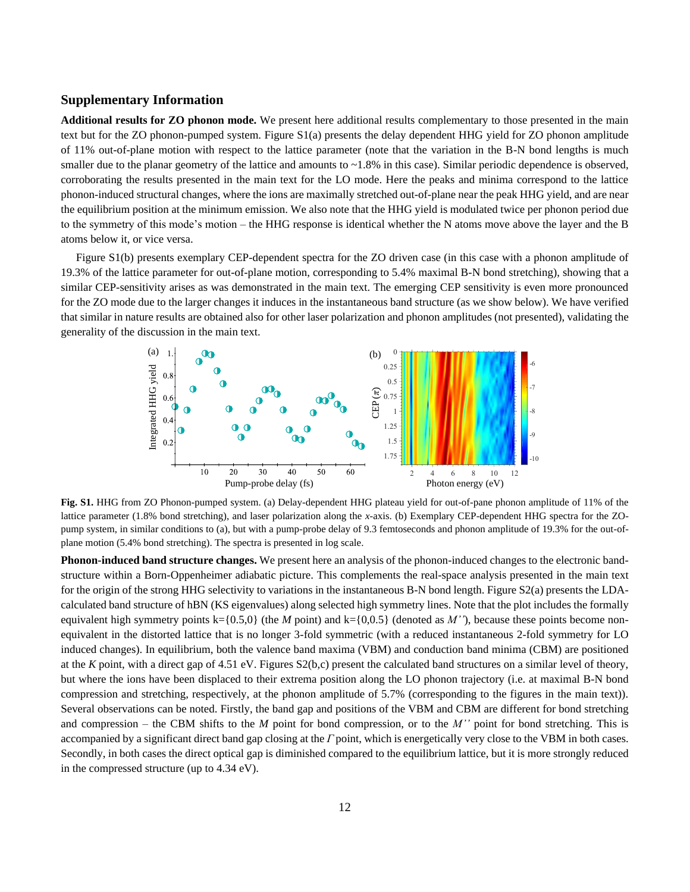## **Supplementary Information**

**Additional results for ZO phonon mode.** We present here additional results complementary to those presented in the main text but for the ZO phonon-pumped system. Figure S1(a) presents the delay dependent HHG yield for ZO phonon amplitude of 11% out-of-plane motion with respect to the lattice parameter (note that the variation in the B-N bond lengths is much smaller due to the planar geometry of the lattice and amounts to  $\sim$ 1.8% in this case). Similar periodic dependence is observed, corroborating the results presented in the main text for the LO mode. Here the peaks and minima correspond to the lattice phonon-induced structural changes, where the ions are maximally stretched out-of-plane near the peak HHG yield, and are near the equilibrium position at the minimum emission. We also note that the HHG yield is modulated twice per phonon period due to the symmetry of this mode's motion – the HHG response is identical whether the N atoms move above the layer and the B atoms below it, or vice versa.

Figure S1(b) presents exemplary CEP-dependent spectra for the ZO driven case (in this case with a phonon amplitude of 19.3% of the lattice parameter for out-of-plane motion, corresponding to 5.4% maximal B-N bond stretching), showing that a similar CEP-sensitivity arises as was demonstrated in the main text. The emerging CEP sensitivity is even more pronounced for the ZO mode due to the larger changes it induces in the instantaneous band structure (as we show below). We have verified that similar in nature results are obtained also for other laser polarization and phonon amplitudes (not presented), validating the generality of the discussion in the main text.



**Fig. S1.** HHG from ZO Phonon-pumped system. (a) Delay-dependent HHG plateau yield for out-of-pane phonon amplitude of 11% of the lattice parameter (1.8% bond stretching), and laser polarization along the *x*-axis. (b) Exemplary CEP-dependent HHG spectra for the ZOpump system, in similar conditions to (a), but with a pump-probe delay of 9.3 femtoseconds and phonon amplitude of 19.3% for the out-ofplane motion (5.4% bond stretching). The spectra is presented in log scale.

**Phonon-induced band structure changes.** We present here an analysis of the phonon-induced changes to the electronic bandstructure within a Born-Oppenheimer adiabatic picture. This complements the real-space analysis presented in the main text for the origin of the strong HHG selectivity to variations in the instantaneous B-N bond length. Figure S2(a) presents the LDAcalculated band structure of hBN (KS eigenvalues) along selected high symmetry lines. Note that the plot includes the formally equivalent high symmetry points  $k=\{0.5,0\}$  (the *M* point) and  $k=\{0,0.5\}$  (denoted as *M''*), because these points become nonequivalent in the distorted lattice that is no longer 3-fold symmetric (with a reduced instantaneous 2-fold symmetry for LO induced changes). In equilibrium, both the valence band maxima (VBM) and conduction band minima (CBM) are positioned at the *K* point, with a direct gap of 4.51 eV. Figures S2(b,c) present the calculated band structures on a similar level of theory, but where the ions have been displaced to their extrema position along the LO phonon trajectory (i.e. at maximal B-N bond compression and stretching, respectively, at the phonon amplitude of 5.7% (corresponding to the figures in the main text)). Several observations can be noted. Firstly, the band gap and positions of the VBM and CBM are different for bond stretching and compression – the CBM shifts to the *M* point for bond compression, or to the *M''* point for bond stretching. This is accompanied by a significant direct band gap closing at the *Γ* point, which is energetically very close to the VBM in both cases. Secondly, in both cases the direct optical gap is diminished compared to the equilibrium lattice, but it is more strongly reduced in the compressed structure (up to 4.34 eV).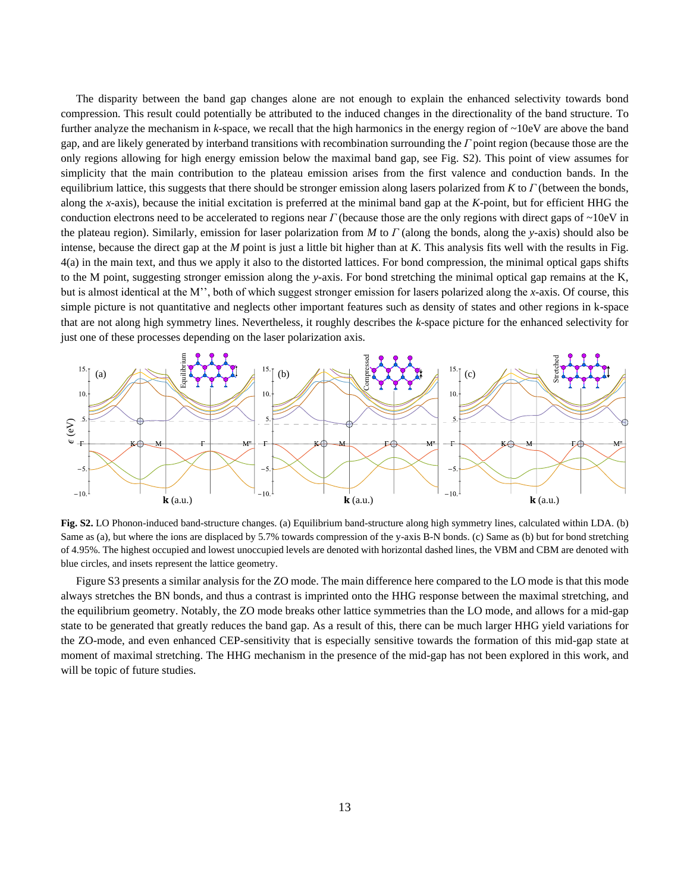The disparity between the band gap changes alone are not enough to explain the enhanced selectivity towards bond compression. This result could potentially be attributed to the induced changes in the directionality of the band structure. To further analyze the mechanism in *k*-space, we recall that the high harmonics in the energy region of ~10eV are above the band gap, and are likely generated by interband transitions with recombination surrounding the *Γ* point region (because those are the only regions allowing for high energy emission below the maximal band gap, see Fig. S2). This point of view assumes for simplicity that the main contribution to the plateau emission arises from the first valence and conduction bands. In the equilibrium lattice, this suggests that there should be stronger emission along lasers polarized from *K* to *Γ* (between the bonds, along the *x*-axis), because the initial excitation is preferred at the minimal band gap at the *K*-point, but for efficient HHG the conduction electrons need to be accelerated to regions near *Γ* (because those are the only regions with direct gaps of ~10eV in the plateau region). Similarly, emission for laser polarization from *M* to *Γ* (along the bonds, along the *y*-axis) should also be intense, because the direct gap at the *M* point is just a little bit higher than at *K*. This analysis fits well with the results in Fig. 4(a) in the main text, and thus we apply it also to the distorted lattices. For bond compression, the minimal optical gaps shifts to the M point, suggesting stronger emission along the *y*-axis. For bond stretching the minimal optical gap remains at the K, but is almost identical at the M'', both of which suggest stronger emission for lasers polarized along the *x*-axis. Of course, this simple picture is not quantitative and neglects other important features such as density of states and other regions in k-space that are not along high symmetry lines. Nevertheless, it roughly describes the *k*-space picture for the enhanced selectivity for just one of these processes depending on the laser polarization axis.



**Fig. S2.** LO Phonon-induced band-structure changes. (a) Equilibrium band-structure along high symmetry lines, calculated within LDA. (b) Same as (a), but where the ions are displaced by 5.7% towards compression of the y-axis B-N bonds. (c) Same as (b) but for bond stretching of 4.95%. The highest occupied and lowest unoccupied levels are denoted with horizontal dashed lines, the VBM and CBM are denoted with blue circles, and insets represent the lattice geometry.

Figure S3 presents a similar analysis for the ZO mode. The main difference here compared to the LO mode is that this mode always stretches the BN bonds, and thus a contrast is imprinted onto the HHG response between the maximal stretching, and the equilibrium geometry. Notably, the ZO mode breaks other lattice symmetries than the LO mode, and allows for a mid-gap state to be generated that greatly reduces the band gap. As a result of this, there can be much larger HHG yield variations for the ZO-mode, and even enhanced CEP-sensitivity that is especially sensitive towards the formation of this mid-gap state at moment of maximal stretching. The HHG mechanism in the presence of the mid-gap has not been explored in this work, and Fig. 52. LO Phonon-induced band<br>Same as (a), but where the ions and same as (a), but where the ions and of 4.95%. The highest occupied a blue circles, and insets represent Figure S3 presents a similar always stretches the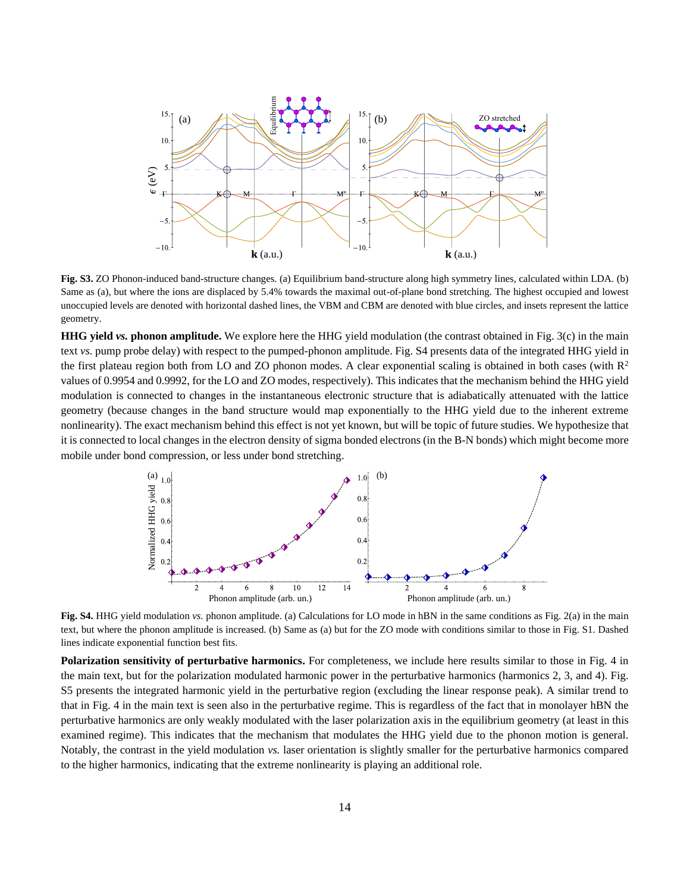

**Fig. S3.** ZO Phonon-induced band-structure changes. (a) Equilibrium band-structure along high symmetry lines, calculated within LDA. (b) Same as (a), but where the ions are displaced by 5.4% towards the maximal out-of-plane bond stretching. The highest occupied and lowest unoccupied levels are denoted with horizontal dashed lines, the VBM and CBM are denoted with blue circles, and insets represent the lattice geometry.

**HHG yield** *vs.* **phonon amplitude.** We explore here the HHG yield modulation (the contrast obtained in Fig. 3(c) in the main text *vs.* pump probe delay) with respect to the pumped-phonon amplitude. Fig. S4 presents data of the integrated HHG yield in the first plateau region both from LO and ZO phonon modes. A clear exponential scaling is obtained in both cases (with  $\mathbb{R}^2$ ) values of 0.9954 and 0.9992, for the LO and ZO modes, respectively). This indicates that the mechanism behind the HHG yield modulation is connected to changes in the instantaneous electronic structure that is adiabatically attenuated with the lattice geometry (because changes in the band structure would map exponentially to the HHG yield due to the inherent extreme nonlinearity). The exact mechanism behind this effect is not yet known, but will be topic of future studies. We hypothesize that it is connected to local changes in the electron density of sigma bonded electrons (in the B-N bonds) which might become more mobile under bond compression, or less under bond stretching. **EXEREM**<br> **EXERCISE THE SECTION CONSULTER THE SET CONSULTER THE SET CONSULTER THE SET CONSULTER THE SET CONSULTER THE SET CONSULTER THE SET CONSULTER THE SET CONSULTER THE SET CONSULTER THE SET CONSULTER THE SET CONSULTER** 



**Fig. S4.** HHG yield modulation *vs.* phonon amplitude. (a) Calculations for LO mode in hBN in the same conditions as Fig. 2(a) in the main text, but where the phonon amplitude is increased. (b) Same as (a) but for the ZO mode with conditions similar to those in Fig. S1. Dashed lines indicate exponential function best fits.

**Polarization sensitivity of perturbative harmonics.** For completeness, we include here results similar to those in Fig. 4 in the main text, but for the polarization modulated harmonic power in the perturbative harmonics (harmonics 2, 3, and 4). Fig. S5 presents the integrated harmonic yield in the perturbative region (excluding the linear response peak). A similar trend to that in Fig. 4 in the main text is seen also in the perturbative regime. This is regardless of the fact that in monolayer hBN the perturbative harmonics are only weakly modulated with the laser polarization axis in the equilibrium geometry (at least in this examined regime). This indicates that the mechanism that modulates the HHG yield due to the phonon motion is general. Notably, the contrast in the yield modulation *vs.* laser orientation is slightly smaller for the perturbative harmonics compared